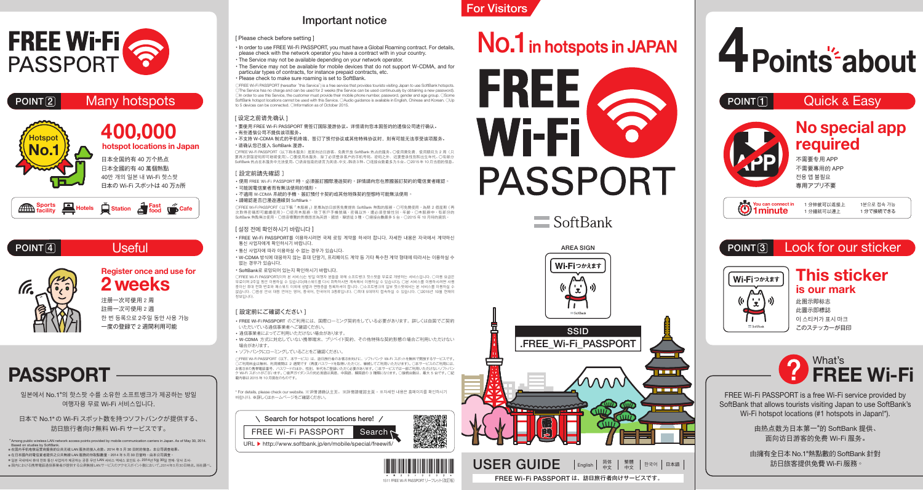

### $P$ OINT $\boxed{2}$  Many hotspots



40만 개의 일본 내 Wi-Fi 핫스팟 日本の Wi-Fi スポットは 40 万ヵ所



### POINT<sup>[4]</sup> Useful



**Register once and use for 2 weeks**

注册一次可使用 2 周 註冊一次可使用 2 週 한 번 등록으로 2주일 동안 사용 가능 一度の登録で 2 週間利用可能

## **PASSPORT**

일본에서 No.1<sup>\*</sup>의 핫스팟 수를 소유한 소프트뱅크가 제공하는 방일 여행자용 무료 Wi-Fi 서비스입니다.

日本で No.1※ の Wi-Fi スポット数を持つソフトバンクが提供する、 訪日旅行者向け無料 Wi-Fi サービスです。

\* Among public wireless LAN network access points provided by mobile communication carriers in Japan. As of May 30, 2014. Based on studies by SoftBank. ※ 在国内手机电信运营商提供的公共无线 LAN 服务的接入点数。2014 年 5 月 30 日时的信息。本公司调查结果。 ※ 在日本國內的電信業者提供之公共無線 LAN 服務的存取點數量。2014 年 5 月 30 日當時。由本公司調查。 ※ 일본 국내에서 휴대 전화 통신 사업자가 제공하는 공중 무선 LAN 서비스 액세스 포인트 수. 2014년 5월 30일 현재. 당사 조사. ※ 国内における携帯電話通信事業者が提供する公衆無線LANサービスのアクセスポイント数において。2014年5月30日時点。当社調べ。

### Important notice

#### [ Please check before setting ]

・ In order to use FREE Wi-Fi PASSPORT, you must have a Global Roaming contract. For details, please check with the network operator you have a contract with in your country. ・ The Service may not be available depending on your network operator.

・ The Service may not be available for mobile devices that do not support W-CDMA, and for particular types of contracts, for instance prepaid contracts, etc.

#### ・ Please check to make sure roaming is set to SoftBank.

○FREE Wi-Fi PASSPORT (hereafter "this Service") is a free service that provides tourists visiting Japan to use SoftBank hotspots. ○The Service has no charge and can be used for 2 weeks (the Service can be used continuously by obtaining a new password).<br>○In order to use this Service, the customer must provide their mobile phone number, password, gend Олпогоет в выше в не в выше и не в совминет пове ргочно в непростоя в полность расстром, датель в современном в<br>В образных hotspot locations cannot be used with this Service. ОАudio guidance is available in English, Chi to 5 devices can be connected. ○Information as of October 2015.

#### [ 设定之前请先确认 ]

・要使用 FREE Wi-Fi PASSPORT 需签订国际漫游协议。详情请向您本国签约的通信公司进行确认。 ・有些通信公司不提供该项服务。

#### · 不支持 W-CDMA 制式的手机终端,签订了预付协议或其他特殊协议时,则有可能无法享受该项服务。 ・请确认您已接入 SoftBank 漫游。

○FREE Wi-Fi PASSPORT(以下称本服务)是面向访日游客、免费开放 SoftBank 热点的服务。○使用费免费,使用期间为 2 周(只 要再次获取密码即可继续使用)。○要使用本服务,除了必须登录客户的手机号码、密码之外,还要登录性别和出生年代。○有部分 SoftBank 热点在本服务中无法使用。○语音指南的语言为英语、中文、韩语 3 种。○连接台数最多为 5 台。○2015 年 10 月当前的信息。

#### [ 設定前請先確認 ]

• 使用 FREE Wi-Fi PASSPORT 時,必須簽訂國際漫遊契約。詳情請向您在原國簽訂契約的電信業者確認 • 可能因電信業者而有無法使用的情形

・ 不適用 W-CDMA 系統的手機、簽訂預付卡契約或其他特殊契約型態時可能無法使用。 ・ 請確認是否已漫遊連線到 SoftBank。

OFREE Wi-Fi PASSPORT (以下稱「本服務」)是專為訪日旅客免費提供 SoftBank 熱點的服務。〇可免費使用,為期 2 個星期 (再 次取得密碼即可繼續使用)。 ○使用本服務,除了客戶手機號碼、密碼以外,還必須登錄性別、年齡。 ○本服務中,有部分的 SoftBank 熱點無法使用。 ○語音導覽的對應語言為英語、國語、韓語這 3 種。 ○連接台數最多 5 台。 ○2015 年 10 月時的資訊。

#### [ 설정 전에 확인하시기 바랍니다 ]

・ FREE Wi-Fi PASSPORT를 이용하시려면 국제 로밍 계약을 하셔야 합니다. 자세한 내용은 자국에서 계약하신 통신 사업자에게 확인하시기 바랍니다.

・ 통신 사업자에 따라 이용하실 수 없는 경우가 있습니다.

・ W-CDMA 방식에 대응하지 않는 휴대 단말기, 프리페이드 계약 등 기타 특수한 계약 형태에 따라서는 이용하실 수 없는 경우가 있습니다.

#### ・ SoftBank로 로밍되어 있는지 확인하시기 바랍니다.

○FREE Wi-Fi PASSPORT(이하 본 서비스)는 방일 여행자 분들을 위해 소프트뱅크 핫스팟을 무료로 개방하는 서비스입니다. ○이용 요금은 무료이며 2주일 동안 이용하실 수 있습니다(패스워드를 다시 취득하시면 계속해서 이용하실 수 있습니다). ○본 서비스를 이용하시려면 사용 중이신 휴대 전화 번호와 패스워드 이외에 성별과 연령층을 등록하셔야 합니다. ○소프트뱅크의 일부 핫스팟에서는 본 서비스를 이용하실 수 없습니다. ○음성 안내 대응 언어는 영어, 중국어, 한국어의 3종류입니다. ○최대 5대까지 접속하실 수 있습니다. ○2015년 10월 현재의 정보입니다.

#### [設定前にご確認ください]

・FREE Wi-Fi PASSPORT のご利用には、国際ローミング契約をしている必要があります。詳しくは自国でご契約 いただいている通信事業者へご確認ください。

・通信事業者によってご利用いただけない場合があります。

・W-CDMA 方式に対応していない携帯端末、プリペイド契約、その他特殊な契約形態の場合ご利用いただけない 場合があります。

・ソフトバンクにローミングしていることをご確認ください。

○FREE Wi-Fi PASSPORT(以下、本サービス)は、訪日旅行者のお客さま向けに、ソフトバンク Wi-Fi スポットを無料で開放するサービスです。 ○ご利用料金は無料、利用期間は 2 週間です(再度パスワードを取得いただくと、継続してご利用いただけます)。○本サービスのご利用には、 お客さまの携帯電話番号、パスワードのほか、性別、年代をご登録いただく必要があります。○本サービスでは一部ご利用いただけないソフトバン ク Wi-Fi スポットがございます。○音声ガイダンスの対応言語は英語、中国語、韓国語の 3 種類になります。○接続台数は、最大 5 台です。◯記 載内容は 2015 年 10 月現在のものです。

\* For details, please check our website. ※详情请确认主页。 ※詳情請確認主頁。 ※자세한 내용은 홈페이지를 확인하시기 - Text doctore, produce oneon car mesoner ハハ 情報な ...





## For Visitors

# No.1 in hotspots in JAPAN



 $\blacksquare$  SoftBank



FREE Wi-Fi PASSPORT は、訪日旅行者向けサービスです。





FREE Wi-Fi PASSPORT is a free Wi-Fi service provided by SoftBank that allows tourists visiting Japan to use SoftBank's Wi-Fi hotspot locations (#1 hotspots in Japan!\*).

> 由热点数为日本第一※ 的 SoftBank 提供、 面向访日游客的免费 Wi-Fi 服务。

> 由擁有全日本 No.1※ 熱點數的 SoftBank 針對 訪日旅客提供免費 Wi-Fi 服務。